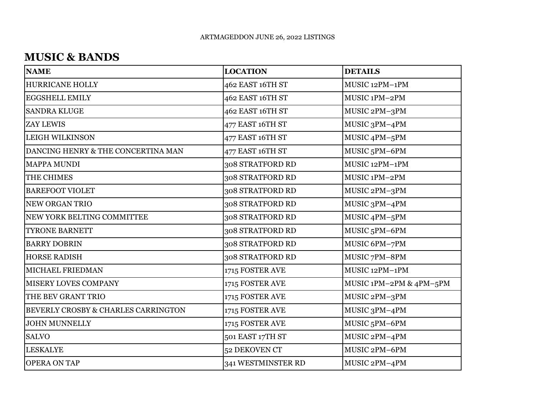#### **MUSIC & BANDS**

| <b>NAME</b>                         | <b>LOCATION</b>    | <b>DETAILS</b>            |
|-------------------------------------|--------------------|---------------------------|
| <b>HURRICANE HOLLY</b>              | 462 EAST 16TH ST   | MUSIC 12PM-1PM            |
| <b>EGGSHELL EMILY</b>               | 462 EAST 16TH ST   | MUSIC 1PM-2PM             |
| <b>SANDRA KLUGE</b>                 | 462 EAST 16TH ST   | MUSIC 2PM-3PM             |
| <b>ZAY LEWIS</b>                    | 477 EAST 16TH ST   | MUSIC 3PM-4PM             |
| <b>LEIGH WILKINSON</b>              | 477 EAST 16TH ST   | MUSIC 4PM-5PM             |
| DANCING HENRY & THE CONCERTINA MAN  | 477 EAST 16TH ST   | MUSIC <sub>5</sub> PM-6PM |
| <b>MAPPA MUNDI</b>                  | 308 STRATFORD RD   | MUSIC 12PM-1PM            |
| THE CHIMES                          | 308 STRATFORD RD   | MUSIC 1PM-2PM             |
| <b>BAREFOOT VIOLET</b>              | 308 STRATFORD RD   | MUSIC 2PM-3PM             |
| NEW ORGAN TRIO                      | 308 STRATFORD RD   | MUSIC 3PM-4PM             |
| NEW YORK BELTING COMMITTEE          | 308 STRATFORD RD   | MUSIC 4PM-5PM             |
| <b>TYRONE BARNETT</b>               | 308 STRATFORD RD   | MUSIC <sub>5</sub> PM-6PM |
| <b>BARRY DOBRIN</b>                 | 308 STRATFORD RD   | MUSIC 6PM-7PM             |
| <b>HORSE RADISH</b>                 | 308 STRATFORD RD   | MUSIC 7PM-8PM             |
| MICHAEL FRIEDMAN                    | 1715 FOSTER AVE    | MUSIC 12PM-1PM            |
| MISERY LOVES COMPANY                | 1715 FOSTER AVE    | MUSIC 1PM-2PM & 4PM-5PM   |
| THE BEV GRANT TRIO                  | 1715 FOSTER AVE    | MUSIC 2PM-3PM             |
| BEVERLY CROSBY & CHARLES CARRINGTON | 1715 FOSTER AVE    | MUSIC 3PM-4PM             |
| <b>JOHN MUNNELLY</b>                | 1715 FOSTER AVE    | MUSIC 5PM-6PM             |
| <b>SALVO</b>                        | 501 EAST 17TH ST   | MUSIC 2PM-4PM             |
| <b>LESKALYE</b>                     | 52 DEKOVEN CT      | MUSIC 2PM-6PM             |
| <b>OPERA ON TAP</b>                 | 341 WESTMINSTER RD | MUSIC 2PM-4PM             |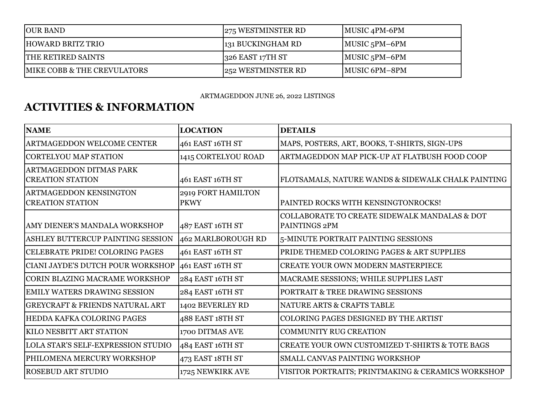| <b>JOUR BAND</b>                       | 275 WESTMINSTER RD | $\vert$ MUSIC 4PM-6PM |
|----------------------------------------|--------------------|-----------------------|
| <b>HOWARD BRITZ TRIO</b>               | 131 BUCKINGHAM RD  | $ MUSIC 5PM - 6PM$    |
| <b>THE RETIRED SAINTS</b>              | $326$ EAST 17TH ST | $MUSIC$ 5PM-6PM       |
| <b>MIKE COBB &amp; THE CREVULATORS</b> | 252 WESTMINSTER RD | MUSIC 6PM-8PM         |

#### ARTMAGEDDON JUNE 26, 2022 LISTINGS

## **ACTIVITIES & INFORMATION**

| <b>NAME</b>                                               | <b>LOCATION</b>                   | <b>DETAILS</b>                                                 |
|-----------------------------------------------------------|-----------------------------------|----------------------------------------------------------------|
| <b>ARTMAGEDDON WELCOME CENTER</b>                         | 461 EAST 16TH ST                  | MAPS, POSTERS, ART, BOOKS, T-SHIRTS, SIGN-UPS                  |
| CORTELYOU MAP STATION                                     | 1415 CORTELYOU ROAD               | ARTMAGEDDON MAP PICK-UP AT FLATBUSH FOOD COOP                  |
| <b>ARTMAGEDDON DITMAS PARK</b><br><b>CREATION STATION</b> | 461 EAST 16TH ST                  | FLOTSAMALS, NATURE WANDS & SIDEWALK CHALK PAINTING             |
| <b>ARTMAGEDDON KENSINGTON</b><br><b>CREATION STATION</b>  | 2919 FORT HAMILTON<br><b>PKWY</b> | PAINTED ROCKS WITH KENSINGTONROCKS!                            |
| AMY DIENER'S MANDALA WORKSHOP                             | 487 EAST 16TH ST                  | COLLABORATE TO CREATE SIDEWALK MANDALAS & DOT<br>PAINTINGS 2PM |
| ASHLEY BUTTERCUP PAINTING SESSION                         | 462 MARLBOROUGH RD                | 5-MINUTE PORTRAIT PAINTING SESSIONS                            |
| CELEBRATE PRIDE! COLORING PAGES                           | 461 EAST 16TH ST                  | PRIDE THEMED COLORING PAGES & ART SUPPLIES                     |
| CIANI JAYDE'S DUTCH POUR WORKSHOP                         | 461 EAST 16TH ST                  | <b>CREATE YOUR OWN MODERN MASTERPIECE</b>                      |
| CORIN BLAZING MACRAME WORKSHOP                            | 284 EAST 16TH ST                  | MACRAME SESSIONS; WHILE SUPPLIES LAST                          |
| EMILY WATERS DRAWING SESSION                              | 284 EAST 16TH ST                  | PORTRAIT & TREE DRAWING SESSIONS                               |
| <b>GREYCRAFT &amp; FRIENDS NATURAL ART</b>                | 1402 BEVERLEY RD                  | NATURE ARTS & CRAFTS TABLE                                     |
| HEDDA KAFKA COLORING PAGES                                | 488 EAST 18TH ST                  | COLORING PAGES DESIGNED BY THE ARTIST                          |
| <b>KILO NESBITT ART STATION</b>                           | 1700 DITMAS AVE                   | <b>COMMUNITY RUG CREATION</b>                                  |
| <b>LOLA STAR'S SELF-EXPRESSION STUDIO</b>                 | 484 EAST 16TH ST                  | <b>CREATE YOUR OWN CUSTOMIZED T-SHIRTS &amp; TOTE BAGS</b>     |
| PHILOMENA MERCURY WORKSHOP                                | 473 EAST 18TH ST                  | SMALL CANVAS PAINTING WORKSHOP                                 |
| <b>ROSEBUD ART STUDIO</b>                                 | 1725 NEWKIRK AVE                  | VISITOR PORTRAITS; PRINTMAKING & CERAMICS WORKSHOP             |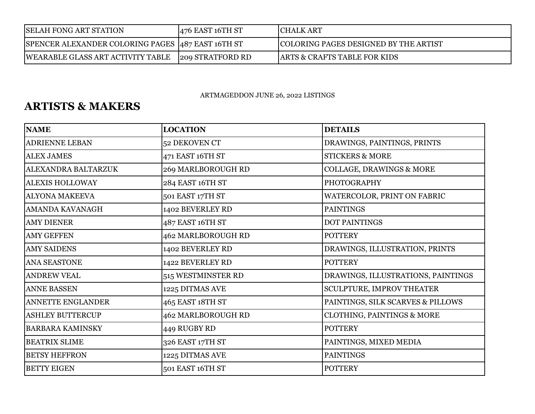| <b>SELAH FONG ART STATION</b>                      | $476$ EAST 16TH ST | <b>CHALK ART</b>                        |
|----------------------------------------------------|--------------------|-----------------------------------------|
| SPENCER ALEXANDER COLORING PAGES  487 EAST 16TH ST |                    | COLORING PAGES DESIGNED BY THE ARTIST   |
| WEARABLE GLASS ART ACTIVITY TABLE                  | 209 STRATFORD RD   | <b>ARTS &amp; CRAFTS TABLE FOR KIDS</b> |

ARTMAGEDDON JUNE 26, 2022 LISTINGS

### **ARTISTS & MAKERS**

| <b>NAME</b>              | <b>LOCATION</b>    | <b>DETAILS</b>                      |
|--------------------------|--------------------|-------------------------------------|
| <b>ADRIENNE LEBAN</b>    | 52 DEKOVEN CT      | DRAWINGS, PAINTINGS, PRINTS         |
| <b>ALEX JAMES</b>        | 471 EAST 16TH ST   | <b>STICKERS &amp; MORE</b>          |
| ALEXANDRA BALTARZUK      | 269 MARLBOROUGH RD | <b>COLLAGE, DRAWINGS &amp; MORE</b> |
| <b>ALEXIS HOLLOWAY</b>   | 284 EAST 16TH ST   | <b>PHOTOGRAPHY</b>                  |
| <b>ALYONA MAKEEVA</b>    | 501 EAST 17TH ST   | WATERCOLOR, PRINT ON FABRIC         |
| AMANDA KAVANAGH          | 1402 BEVERLEY RD   | <b>PAINTINGS</b>                    |
| <b>AMY DIENER</b>        | 487 EAST 16TH ST   | <b>DOT PAINTINGS</b>                |
| <b>AMY GEFFEN</b>        | 462 MARLBOROUGH RD | <b>POTTERY</b>                      |
| <b>AMY SAIDENS</b>       | 1402 BEVERLEY RD   | DRAWINGS, ILLUSTRATION, PRINTS      |
| <b>ANA SEASTONE</b>      | 1422 BEVERLEY RD   | <b>POTTERY</b>                      |
| <b>ANDREW VEAL</b>       | 515 WESTMINSTER RD | DRAWINGS, ILLUSTRATIONS, PAINTINGS  |
| <b>ANNE BASSEN</b>       | 1225 DITMAS AVE    | SCULPTURE, IMPROV THEATER           |
| <b>ANNETTE ENGLANDER</b> | 465 EAST 18TH ST   | PAINTINGS, SILK SCARVES & PILLOWS   |
| <b>ASHLEY BUTTERCUP</b>  | 462 MARLBOROUGH RD | CLOTHING, PAINTINGS & MORE          |
| <b>BARBARA KAMINSKY</b>  | 449 RUGBY RD       | <b>POTTERY</b>                      |
| <b>BEATRIX SLIME</b>     | 326 EAST 17TH ST   | PAINTINGS, MIXED MEDIA              |
| <b>BETSY HEFFRON</b>     | 1225 DITMAS AVE    | <b>PAINTINGS</b>                    |
| <b>BETTY EIGEN</b>       | 501 EAST 16TH ST   | <b>POTTERY</b>                      |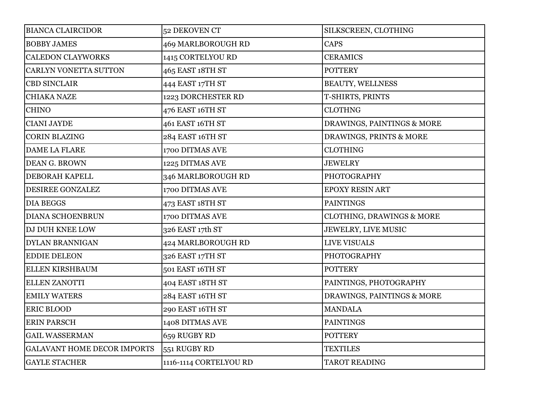| <b>BIANCA CLAIRCIDOR</b>           | 52 DEKOVEN CT          | SILKSCREEN, CLOTHING                 |
|------------------------------------|------------------------|--------------------------------------|
| <b>BOBBY JAMES</b>                 | 469 MARLBOROUGH RD     | <b>CAPS</b>                          |
| <b>CALEDON CLAYWORKS</b>           | 1415 CORTELYOU RD      | <b>CERAMICS</b>                      |
| CARLYN VONETTA SUTTON              | 465 EAST 18TH ST       | <b>POTTERY</b>                       |
| <b>CBD SINCLAIR</b>                | 444 EAST 17TH ST       | <b>BEAUTY, WELLNESS</b>              |
| <b>CHIAKA NAZE</b>                 | 1223 DORCHESTER RD     | T-SHIRTS, PRINTS                     |
| <b>CHINO</b>                       | 476 EAST 16TH ST       | <b>CLOTHNG</b>                       |
| <b>CIANI JAYDE</b>                 | 461 EAST 16TH ST       | DRAWINGS, PAINTINGS & MORE           |
| <b>CORIN BLAZING</b>               | 284 EAST 16TH ST       | DRAWINGS, PRINTS & MORE              |
| DAME LA FLARE                      | 1700 DITMAS AVE        | <b>CLOTHING</b>                      |
| DEAN G. BROWN                      | 1225 DITMAS AVE        | <b>JEWELRY</b>                       |
| DEBORAH KAPELL                     | 346 MARLBOROUGH RD     | <b>PHOTOGRAPHY</b>                   |
| DESIREE GONZALEZ                   | 1700 DITMAS AVE        | <b>EPOXY RESIN ART</b>               |
| <b>DIA BEGGS</b>                   | 473 EAST 18TH ST       | <b>PAINTINGS</b>                     |
| <b>DIANA SCHOENBRUN</b>            | 1700 DITMAS AVE        | <b>CLOTHING, DRAWINGS &amp; MORE</b> |
| DJ DUH KNEE LOW                    | 326 EAST 17th ST       | <b>JEWELRY, LIVE MUSIC</b>           |
| <b>DYLAN BRANNIGAN</b>             | 424 MARLBOROUGH RD     | LIVE VISUALS                         |
| <b>EDDIE DELEON</b>                | 326 EAST 17TH ST       | <b>PHOTOGRAPHY</b>                   |
| ELLEN KIRSHBAUM                    | 501 EAST 16TH ST       | <b>POTTERY</b>                       |
| ELLEN ZANOTTI                      | 404 EAST 18TH ST       | PAINTINGS, PHOTOGRAPHY               |
| <b>EMILY WATERS</b>                | 284 EAST 16TH ST       | DRAWINGS, PAINTINGS & MORE           |
| <b>ERIC BLOOD</b>                  | 290 EAST 16TH ST       | <b>MANDALA</b>                       |
| <b>ERIN PARSCH</b>                 | 1408 DITMAS AVE        | <b>PAINTINGS</b>                     |
| <b>GAIL WASSERMAN</b>              | 659 RUGBY RD           | <b>POTTERY</b>                       |
| <b>GALAVANT HOME DECOR IMPORTS</b> | 551 RUGBY RD           | <b>TEXTILES</b>                      |
| <b>GAYLE STACHER</b>               | 1116-1114 CORTELYOU RD | <b>TAROT READING</b>                 |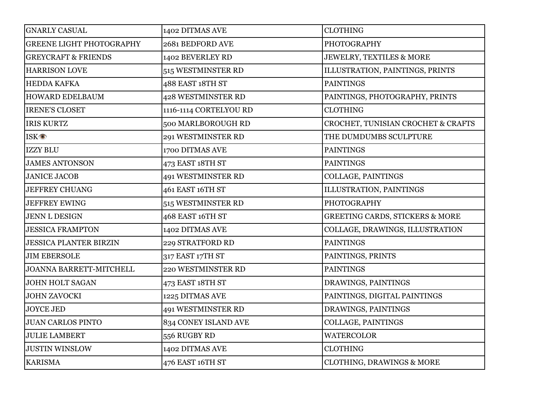| <b>GNARLY CASUAL</b>            | 1402 DITMAS AVE        | <b>CLOTHING</b>                            |
|---------------------------------|------------------------|--------------------------------------------|
| <b>GREENE LIGHT PHOTOGRAPHY</b> | 2681 BEDFORD AVE       | <b>PHOTOGRAPHY</b>                         |
| <b>GREYCRAFT &amp; FRIENDS</b>  | 1402 BEVERLEY RD       | <b>JEWELRY, TEXTILES &amp; MORE</b>        |
| <b>HARRISON LOVE</b>            | 515 WESTMINSTER RD     | ILLUSTRATION, PAINTINGS, PRINTS            |
| <b>HEDDA KAFKA</b>              | 488 EAST 18TH ST       | <b>PAINTINGS</b>                           |
| <b>HOWARD EDELBAUM</b>          | 428 WESTMINSTER RD     | PAINTINGS, PHOTOGRAPHY, PRINTS             |
| <b>IRENE'S CLOSET</b>           | 1116-1114 CORTELYOU RD | <b>CLOTHING</b>                            |
| <b>IRIS KURTZ</b>               | 500 MARLBOROUGH RD     | CROCHET, TUNISIAN CROCHET & CRAFTS         |
| <b>ISK<sup>o</sup></b>          | 291 WESTMINSTER RD     | THE DUMDUMBS SCULPTURE                     |
| IZZY BLU                        | 1700 DITMAS AVE        | <b>PAINTINGS</b>                           |
| <b>JAMES ANTONSON</b>           | 473 EAST 18TH ST       | <b>PAINTINGS</b>                           |
| <b>JANICE JACOB</b>             | 491 WESTMINSTER RD     | COLLAGE, PAINTINGS                         |
| <b>JEFFREY CHUANG</b>           | 461 EAST 16TH ST       | ILLUSTRATION, PAINTINGS                    |
| <b>JEFFREY EWING</b>            | 515 WESTMINSTER RD     | <b>PHOTOGRAPHY</b>                         |
| <b>JENN L DESIGN</b>            | 468 EAST 16TH ST       | <b>GREETING CARDS, STICKERS &amp; MORE</b> |
| <b>JESSICA FRAMPTON</b>         | 1402 DITMAS AVE        | COLLAGE, DRAWINGS, ILLUSTRATION            |
| <b>JESSICA PLANTER BIRZIN</b>   | 229 STRATFORD RD       | <b>PAINTINGS</b>                           |
| <b>JIM EBERSOLE</b>             | 317 EAST 17TH ST       | PAINTINGS, PRINTS                          |
| JOANNA BARRETT-MITCHELL         | 220 WESTMINSTER RD     | <b>PAINTINGS</b>                           |
| JOHN HOLT SAGAN                 | 473 EAST 18TH ST       | DRAWINGS, PAINTINGS                        |
| <b>JOHN ZAVOCKI</b>             | 1225 DITMAS AVE        | PAINTINGS, DIGITAL PAINTINGS               |
| <b>JOYCE JED</b>                | 491 WESTMINSTER RD     | DRAWINGS, PAINTINGS                        |
| <b>JUAN CARLOS PINTO</b>        | 834 CONEY ISLAND AVE   | COLLAGE, PAINTINGS                         |
| <b>JULIE LAMBERT</b>            | 556 RUGBY RD           | <b>WATERCOLOR</b>                          |
| <b>JUSTIN WINSLOW</b>           | 1402 DITMAS AVE        | <b>CLOTHING</b>                            |
| <b>KARISMA</b>                  | 476 EAST 16TH ST       | CLOTHING, DRAWINGS & MORE                  |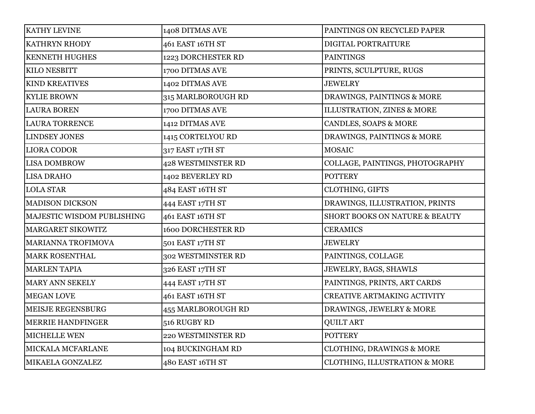| KATHY LEVINE               | 1408 DITMAS AVE           | PAINTINGS ON RECYCLED PAPER        |
|----------------------------|---------------------------|------------------------------------|
| <b>KATHRYN RHODY</b>       | 461 EAST 16TH ST          | DIGITAL PORTRAITURE                |
| <b>KENNETH HUGHES</b>      | 1223 DORCHESTER RD        | <b>PAINTINGS</b>                   |
| KILO NESBITT               | 1700 DITMAS AVE           | PRINTS, SCULPTURE, RUGS            |
| <b>KIND KREATIVES</b>      | 1402 DITMAS AVE           | <b>JEWELRY</b>                     |
| <b>KYLIE BROWN</b>         | 315 MARLBOROUGH RD        | DRAWINGS, PAINTINGS & MORE         |
| <b>LAURA BOREN</b>         | 1700 DITMAS AVE           | ILLUSTRATION, ZINES & MORE         |
| <b>LAURA TORRENCE</b>      | 1412 DITMAS AVE           | CANDLES, SOAPS & MORE              |
| <b>LINDSEY JONES</b>       | 1415 CORTELYOU RD         | DRAWINGS, PAINTINGS & MORE         |
| <b>LIORA CODOR</b>         | 317 EAST 17TH ST          | <b>MOSAIC</b>                      |
| <b>LISA DOMBROW</b>        | <b>428 WESTMINSTER RD</b> | COLLAGE, PAINTINGS, PHOTOGRAPHY    |
| <b>LISA DRAHO</b>          | 1402 BEVERLEY RD          | <b>POTTERY</b>                     |
| <b>LOLA STAR</b>           | 484 EAST 16TH ST          | <b>CLOTHING, GIFTS</b>             |
| <b>MADISON DICKSON</b>     | 444 EAST 17TH ST          | DRAWINGS, ILLUSTRATION, PRINTS     |
| MAJESTIC WISDOM PUBLISHING | 461 EAST 16TH ST          | SHORT BOOKS ON NATURE & BEAUTY     |
| MARGARET SIKOWITZ          | <b>1600 DORCHESTER RD</b> | <b>CERAMICS</b>                    |
| MARIANNA TROFIMOVA         | 501 EAST 17TH ST          | <b>JEWELRY</b>                     |
| <b>MARK ROSENTHAL</b>      | 302 WESTMINSTER RD        | PAINTINGS, COLLAGE                 |
| <b>MARLEN TAPIA</b>        | 326 EAST 17TH ST          | JEWELRY, BAGS, SHAWLS              |
| <b>MARY ANN SEKELY</b>     | 444 EAST 17TH ST          | PAINTINGS, PRINTS, ART CARDS       |
| <b>MEGAN LOVE</b>          | 461 EAST 16TH ST          | <b>CREATIVE ARTMAKING ACTIVITY</b> |
| <b>MEISJE REGENSBURG</b>   | 455 MARLBOROUGH RD        | DRAWINGS, JEWELRY & MORE           |
| <b>MERRIE HANDFINGER</b>   | 516 RUGBY RD              | <b>QUILT ART</b>                   |
| MICHELLE WEN               | 220 WESTMINSTER RD        | <b>POTTERY</b>                     |
| MICKALA MCFARLANE          | 104 BUCKINGHAM RD         | CLOTHING, DRAWINGS & MORE          |
| MIKAELA GONZALEZ           | 480 EAST 16TH ST          | CLOTHING, ILLUSTRATION & MORE      |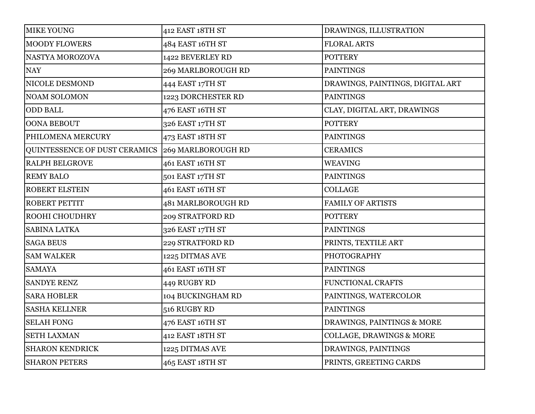| <b>MIKE YOUNG</b>             | 412 EAST 18TH ST   | DRAWINGS, ILLUSTRATION              |
|-------------------------------|--------------------|-------------------------------------|
| <b>MOODY FLOWERS</b>          | 484 EAST 16TH ST   | <b>FLORAL ARTS</b>                  |
| NASTYA MOROZOVA               | 1422 BEVERLEY RD   | <b>POTTERY</b>                      |
| <b>NAY</b>                    | 269 MARLBOROUGH RD | <b>PAINTINGS</b>                    |
| NICOLE DESMOND                | 444 EAST 17TH ST   | DRAWINGS, PAINTINGS, DIGITAL ART    |
| <b>NOAM SOLOMON</b>           | 1223 DORCHESTER RD | <b>PAINTINGS</b>                    |
| <b>ODD BALL</b>               | 476 EAST 16TH ST   | CLAY, DIGITAL ART, DRAWINGS         |
| OONA BEBOUT                   | 326 EAST 17TH ST   | <b>POTTERY</b>                      |
| PHILOMENA MERCURY             | 473 EAST 18TH ST   | <b>PAINTINGS</b>                    |
| QUINTESSENCE OF DUST CERAMICS | 269 MARLBOROUGH RD | <b>CERAMICS</b>                     |
| <b>RALPH BELGROVE</b>         | 461 EAST 16TH ST   | <b>WEAVING</b>                      |
| <b>REMY BALO</b>              | 501 EAST 17TH ST   | <b>PAINTINGS</b>                    |
| <b>ROBERT ELSTEIN</b>         | 461 EAST 16TH ST   | <b>COLLAGE</b>                      |
| ROBERT PETTIT                 | 481 MARLBOROUGH RD | <b>FAMILY OF ARTISTS</b>            |
| ROOHI CHOUDHRY                | 209 STRATFORD RD   | <b>POTTERY</b>                      |
| <b>SABINA LATKA</b>           | 326 EAST 17TH ST   | <b>PAINTINGS</b>                    |
| <b>SAGA BEUS</b>              | 229 STRATFORD RD   | PRINTS, TEXTILE ART                 |
| <b>SAM WALKER</b>             | 1225 DITMAS AVE    | <b>PHOTOGRAPHY</b>                  |
| <b>SAMAYA</b>                 | 461 EAST 16TH ST   | <b>PAINTINGS</b>                    |
| <b>SANDYE RENZ</b>            | 449 RUGBY RD       | <b>FUNCTIONAL CRAFTS</b>            |
| <b>SARA HOBLER</b>            | 104 BUCKINGHAM RD  | PAINTINGS, WATERCOLOR               |
| <b>SASHA KELLNER</b>          | 516 RUGBY RD       | <b>PAINTINGS</b>                    |
| <b>SELAH FONG</b>             | 476 EAST 16TH ST   | DRAWINGS, PAINTINGS & MORE          |
| <b>SETH LAXMAN</b>            | 412 EAST 18TH ST   | <b>COLLAGE, DRAWINGS &amp; MORE</b> |
| <b>SHARON KENDRICK</b>        | 1225 DITMAS AVE    | DRAWINGS, PAINTINGS                 |
| <b>SHARON PETERS</b>          | 465 EAST 18TH ST   | PRINTS, GREETING CARDS              |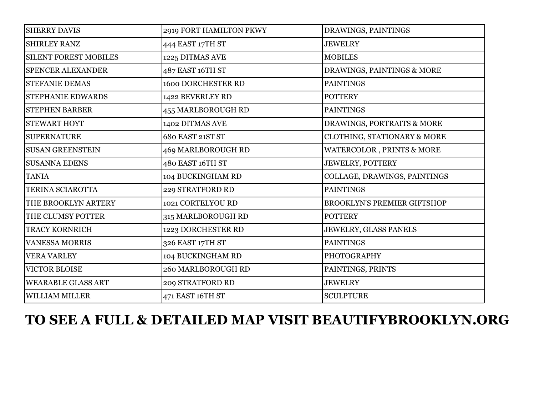| <b>SHERRY DAVIS</b>          | 2919 FORT HAMILTON PKWY   | DRAWINGS, PAINTINGS                |
|------------------------------|---------------------------|------------------------------------|
| <b>SHIRLEY RANZ</b>          | 444 EAST 17TH ST          | <b>JEWELRY</b>                     |
| <b>SILENT FOREST MOBILES</b> | 1225 DITMAS AVE           | <b>MOBILES</b>                     |
| <b>SPENCER ALEXANDER</b>     | 487 EAST 16TH ST          | DRAWINGS, PAINTINGS & MORE         |
| <b>STEFANIE DEMAS</b>        | <b>1600 DORCHESTER RD</b> | <b>PAINTINGS</b>                   |
| STEPHANIE EDWARDS            | 1422 BEVERLEY RD          | <b>POTTERY</b>                     |
| <b>STEPHEN BARBER</b>        | 455 MARLBOROUGH RD        | <b>PAINTINGS</b>                   |
| <b>STEWART HOYT</b>          | 1402 DITMAS AVE           | DRAWINGS, PORTRAITS & MORE         |
| <b>SUPERNATURE</b>           | 680 EAST 21ST ST          | CLOTHING, STATIONARY & MORE        |
| <b>SUSAN GREENSTEIN</b>      | 469 MARLBOROUGH RD        | WATERCOLOR, PRINTS & MORE          |
| <b>SUSANNA EDENS</b>         | 480 EAST 16TH ST          | JEWELRY, POTTERY                   |
| <b>TANIA</b>                 | 104 BUCKINGHAM RD         | COLLAGE, DRAWINGS, PAINTINGS       |
| TERINA SCIAROTTA             | 229 STRATFORD RD          | <b>PAINTINGS</b>                   |
| THE BROOKLYN ARTERY          | 1021 CORTELYOU RD         | <b>BROOKLYN'S PREMIER GIFTSHOP</b> |
| THE CLUMSY POTTER            | 315 MARLBOROUGH RD        | <b>POTTERY</b>                     |
| <b>TRACY KORNRICH</b>        | 1223 DORCHESTER RD        | JEWELRY, GLASS PANELS              |
| <b>VANESSA MORRIS</b>        | 326 EAST 17TH ST          | <b>PAINTINGS</b>                   |
| <b>VERA VARLEY</b>           | 104 BUCKINGHAM RD         | <b>PHOTOGRAPHY</b>                 |
| <b>VICTOR BLOISE</b>         | <b>260 MARLBOROUGH RD</b> | PAINTINGS, PRINTS                  |
| <b>WEARABLE GLASS ART</b>    | 209 STRATFORD RD          | <b>JEWELRY</b>                     |
| <b>WILLIAM MILLER</b>        | 471 EAST 16TH ST          | <b>SCULPTURE</b>                   |

# **TO SEE A FULL & DETAILED MAP VISIT BEAUTIFYBROOKLYN.ORG**